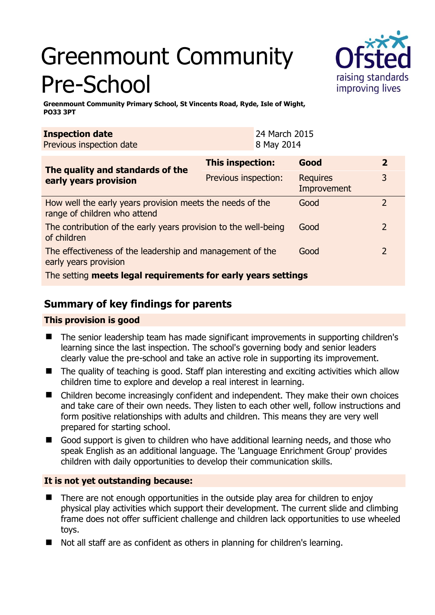# Greenmount Community Pre-School



**Greenmount Community Primary School, St Vincents Road, Ryde, Isle of Wight, PO33 3PT** 

| <b>Inspection date</b><br>Previous inspection date                                        |                      | 24 March 2015<br>8 May 2014 |                                |                |  |
|-------------------------------------------------------------------------------------------|----------------------|-----------------------------|--------------------------------|----------------|--|
| The quality and standards of the<br>early years provision                                 | This inspection:     |                             | Good                           | $\overline{2}$ |  |
|                                                                                           | Previous inspection: |                             | <b>Requires</b><br>Improvement | 3              |  |
| How well the early years provision meets the needs of the<br>range of children who attend |                      |                             | Good                           | $\overline{2}$ |  |
| The contribution of the early years provision to the well-being<br>of children            |                      |                             | Good                           | $2^{\circ}$    |  |
| The effectiveness of the leadership and management of the<br>early years provision        |                      |                             | Good                           | $\overline{2}$ |  |
| The setting meets legal requirements for early years settings                             |                      |                             |                                |                |  |

# **Summary of key findings for parents**

## **This provision is good**

- The senior leadership team has made significant improvements in supporting children's learning since the last inspection. The school's governing body and senior leaders clearly value the pre-school and take an active role in supporting its improvement.
- The quality of teaching is good. Staff plan interesting and exciting activities which allow children time to explore and develop a real interest in learning.
- Children become increasingly confident and independent. They make their own choices and take care of their own needs. They listen to each other well, follow instructions and form positive relationships with adults and children. This means they are very well prepared for starting school.
- Good support is given to children who have additional learning needs, and those who speak English as an additional language. The 'Language Enrichment Group' provides children with daily opportunities to develop their communication skills.

## **It is not yet outstanding because:**

- There are not enough opportunities in the outside play area for children to enjoy physical play activities which support their development. The current slide and climbing frame does not offer sufficient challenge and children lack opportunities to use wheeled toys.
- Not all staff are as confident as others in planning for children's learning.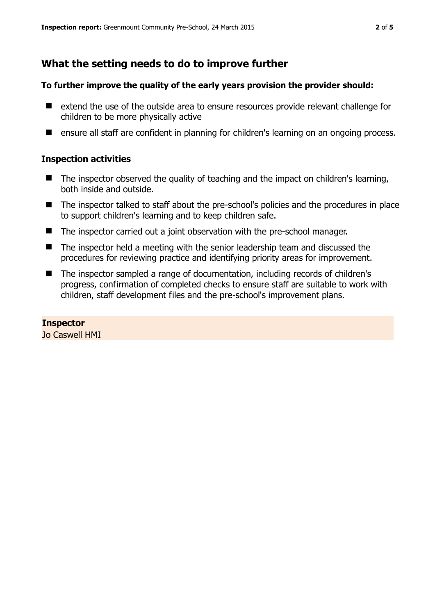# **What the setting needs to do to improve further**

#### **To further improve the quality of the early years provision the provider should:**

- extend the use of the outside area to ensure resources provide relevant challenge for children to be more physically active
- ensure all staff are confident in planning for children's learning on an ongoing process.

#### **Inspection activities**

- The inspector observed the quality of teaching and the impact on children's learning, both inside and outside.
- The inspector talked to staff about the pre-school's policies and the procedures in place to support children's learning and to keep children safe.
- The inspector carried out a joint observation with the pre-school manager.
- The inspector held a meeting with the senior leadership team and discussed the procedures for reviewing practice and identifying priority areas for improvement.
- The inspector sampled a range of documentation, including records of children's progress, confirmation of completed checks to ensure staff are suitable to work with children, staff development files and the pre-school's improvement plans.

#### **Inspector**

Jo Caswell HMI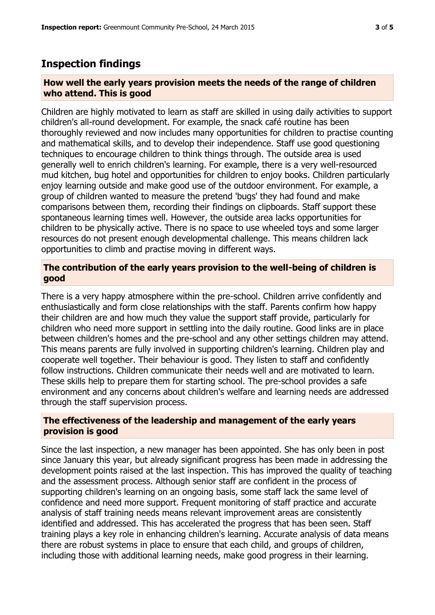## **Inspection findings**

#### **How well the early years provision meets the needs of the range of children who attend. This is good**

Children are highly motivated to learn as staff are skilled in using daily activities to support children's all-round development. For example, the snack café routine has been thoroughly reviewed and now includes many opportunities for children to practise counting and mathematical skills, and to develop their independence. Staff use good questioning techniques to encourage children to think things through. The outside area is used generally well to enrich children's learning. For example, there is a very well-resourced mud kitchen, bug hotel and opportunities for children to enjoy books. Children particularly enjoy learning outside and make good use of the outdoor environment. For example, a group of children wanted to measure the pretend 'bugs' they had found and make comparisons between them, recording their findings on clipboards. Staff support these spontaneous learning times well. However, the outside area lacks opportunities for children to be physically active. There is no space to use wheeled toys and some larger resources do not present enough developmental challenge. This means children lack opportunities to climb and practise moving in different ways.

#### **The contribution of the early years provision to the well-being of children is good**

There is a very happy atmosphere within the pre-school. Children arrive confidently and enthusiastically and form close relationships with the staff. Parents confirm how happy their children are and how much they value the support staff provide, particularly for children who need more support in settling into the daily routine. Good links are in place between children's homes and the pre-school and any other settings children may attend. This means parents are fully involved in supporting children's learning. Children play and cooperate well together. Their behaviour is good. They listen to staff and confidently follow instructions. Children communicate their needs well and are motivated to learn. These skills help to prepare them for starting school. The pre-school provides a safe environment and any concerns about children's welfare and learning needs are addressed through the staff supervision process.

#### **The effectiveness of the leadership and management of the early years provision is good**

Since the last inspection, a new manager has been appointed. She has only been in post since January this year, but already significant progress has been made in addressing the development points raised at the last inspection. This has improved the quality of teaching and the assessment process. Although senior staff are confident in the process of supporting children's learning on an ongoing basis, some staff lack the same level of confidence and need more support. Frequent monitoring of staff practice and accurate analysis of staff training needs means relevant improvement areas are consistently identified and addressed. This has accelerated the progress that has been seen. Staff training plays a key role in enhancing children's learning. Accurate analysis of data means there are robust systems in place to ensure that each child, and groups of children, including those with additional learning needs, make good progress in their learning.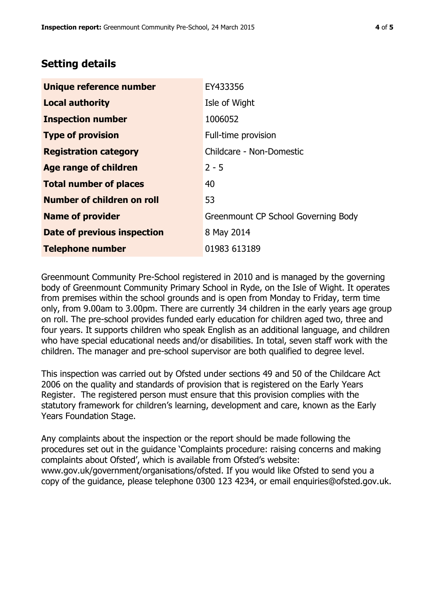# **Setting details**

| Unique reference number           | EY433356                            |  |
|-----------------------------------|-------------------------------------|--|
| <b>Local authority</b>            | Isle of Wight                       |  |
| <b>Inspection number</b>          | 1006052                             |  |
| <b>Type of provision</b>          | Full-time provision                 |  |
| <b>Registration category</b>      | Childcare - Non-Domestic            |  |
| Age range of children             | $2 - 5$                             |  |
| <b>Total number of places</b>     | 40                                  |  |
| <b>Number of children on roll</b> | 53                                  |  |
| <b>Name of provider</b>           | Greenmount CP School Governing Body |  |
| Date of previous inspection       | 8 May 2014                          |  |
| <b>Telephone number</b>           | 01983 613189                        |  |

Greenmount Community Pre-School registered in 2010 and is managed by the governing body of Greenmount Community Primary School in Ryde, on the Isle of Wight. It operates from premises within the school grounds and is open from Monday to Friday, term time only, from 9.00am to 3.00pm. There are currently 34 children in the early years age group on roll. The pre-school provides funded early education for children aged two, three and four years. It supports children who speak English as an additional language, and children who have special educational needs and/or disabilities. In total, seven staff work with the children. The manager and pre-school supervisor are both qualified to degree level.

This inspection was carried out by Ofsted under sections 49 and 50 of the Childcare Act 2006 on the quality and standards of provision that is registered on the Early Years Register. The registered person must ensure that this provision complies with the statutory framework for children's learning, development and care, known as the Early Years Foundation Stage.

Any complaints about the inspection or the report should be made following the procedures set out in the guidance 'Complaints procedure: raising concerns and making complaints about Ofsted', which is available from Ofsted's website: www.gov.uk/government/organisations/ofsted. If you would like Ofsted to send you a copy of the guidance, please telephone 0300 123 4234, or email enquiries@ofsted.gov.uk.